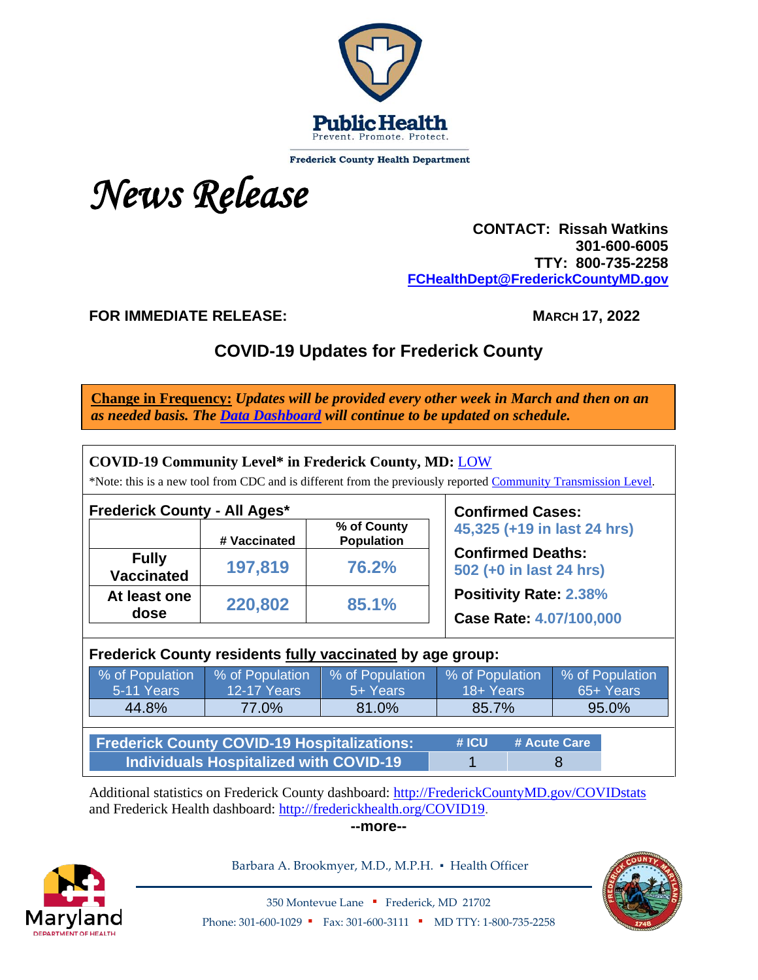

**Frederick County Health Department** 



 **CONTACT: Rissah Watkins 301-600-6005 TTY: 800-735-2258 [FCHealthDept@FrederickCountyMD.gov](mailto:FCHealthDept@FrederickCountyMD.gov)**

**FOR IMMEDIATE RELEASE:** MARCH 17, 2022

# **COVID-19 Updates for Frederick County**

**Change in Frequency:** *Updates will be provided every other week in March and then on an as needed basis. The [Data Dashboard](http://frederickcountymd.gov/COVIDstats) will continue to be updated on schedule.*

| <b>Frederick County - All Ages*</b>                       |                    | <b>Confirmed Cases:</b>          |                                                          |                 |  |  |  |
|-----------------------------------------------------------|--------------------|----------------------------------|----------------------------------------------------------|-----------------|--|--|--|
|                                                           | # Vaccinated       | % of County<br><b>Population</b> | 45,325 (+19 in last 24 hrs)                              |                 |  |  |  |
| <b>Fully</b><br><b>Vaccinated</b>                         | 197,819            | 76.2%                            | <b>Confirmed Deaths:</b><br>502 (+0 in last 24 hrs)      |                 |  |  |  |
| At least one<br>dose                                      | 220,802            | 85.1%                            | <b>Positivity Rate: 2.38%</b><br>Case Rate: 4.07/100,000 |                 |  |  |  |
| Frederick County residents fully vaccinated by age group: |                    |                                  |                                                          |                 |  |  |  |
|                                                           |                    |                                  |                                                          |                 |  |  |  |
| % of Population                                           | % of Population    | % of Population                  | % of Population                                          | % of Population |  |  |  |
| 5-11 Years                                                | <b>12-17 Years</b> | 5+ Years                         | 18+ Years                                                | 65+ Years       |  |  |  |
| 44.8%                                                     | 77.0%              | 81.0%                            | 85.7%                                                    | 95.0%           |  |  |  |

Additional statistics on Frederick County dashboard: [http://FrederickCountyMD.gov/COVIDstats](http://frederickcountymd.gov/COVIDstats) and Frederick Health dashboard: [http://frederickhealth.org/COVID19.](http://frederickhealth.org/COVID19)

**--more--**



Barbara A. Brookmyer, M.D., M.P.H. · Health Officer



350 Montevue Lane ▪ Frederick, MD 21702 Phone: 301-600-1029 • Fax: 301-600-3111 • MD TTY: 1-800-735-2258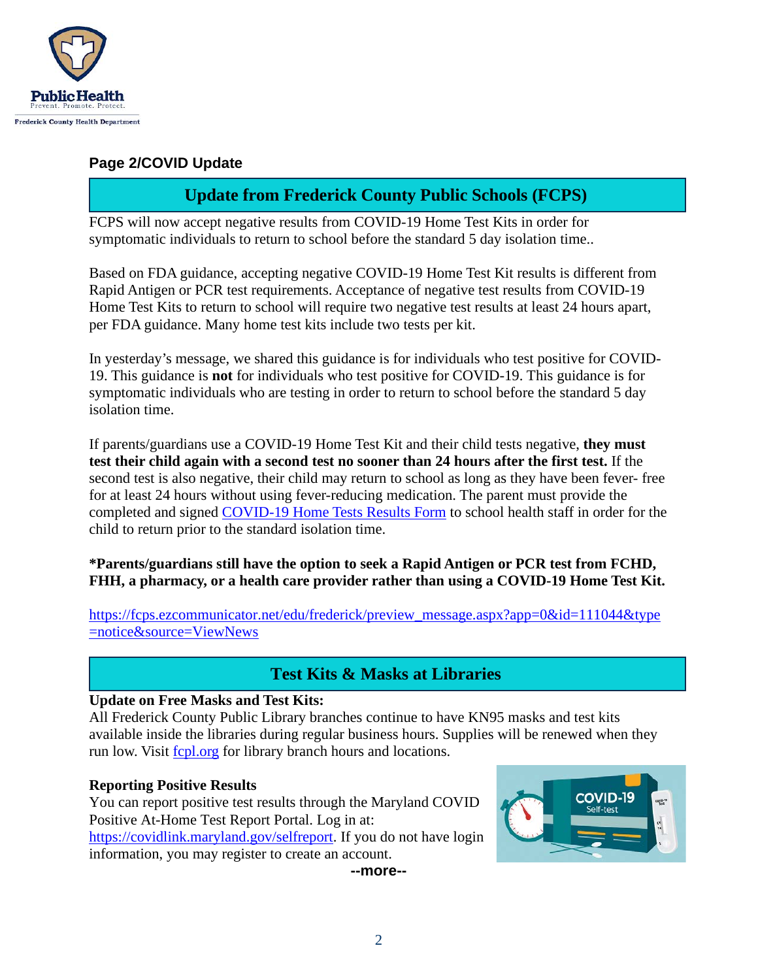

#### **Page 2/COVID Update**

### **Update from Frederick County Public Schools (FCPS)**

FCPS will now accept negative results from COVID-19 Home Test Kits in order for symptomatic individuals to return to school before the standard 5 day isolation time..

Based on FDA guidance, accepting negative COVID-19 Home Test Kit results is different from Rapid Antigen or PCR test requirements. Acceptance of negative test results from COVID-19 Home Test Kits to return to school will require two negative test results at least 24 hours apart, per FDA guidance. Many home test kits include two tests per kit.

In yesterday's message, we shared this guidance is for individuals who test positive for COVID-19. This guidance is **not** for individuals who test positive for COVID-19. This guidance is for symptomatic individuals who are testing in order to return to school before the standard 5 day isolation time.

If parents/guardians use a COVID-19 Home Test Kit and their child tests negative, **they must test their child again with a second test no sooner than 24 hours after the first test.** If the second test is also negative, their child may return to school as long as they have been fever- free for at least 24 hours without using fever-reducing medication. The parent must provide the completed and signed [COVID-19 Home Tests Results Form](https://www.fcps.org/student-services/files/documents/forms/COVID-19_HomeTestResultsFormDirections.pdf) to school health staff in order for the child to return prior to the standard isolation time.

**\*Parents/guardians still have the option to seek a Rapid Antigen or PCR test from FCHD, FHH, a pharmacy, or a health care provider rather than using a COVID-19 Home Test Kit.**

[https://fcps.ezcommunicator.net/edu/frederick/preview\\_message.aspx?app=0&id=111044&type](https://fcps.ezcommunicator.net/edu/frederick/preview_message.aspx?app=0&id=111044&type=notice&source=ViewNews) [=notice&source=ViewNews](https://fcps.ezcommunicator.net/edu/frederick/preview_message.aspx?app=0&id=111044&type=notice&source=ViewNews)

### **Test Kits & Masks at Libraries**

#### **Update on Free Masks and Test Kits:**

All Frederick County Public Library branches continue to have KN95 masks and test kits available inside the libraries during regular business hours. Supplies will be renewed when they run low. Visit [fcpl.org](https://www.fcpl.org/) for library branch hours and locations.

#### **Reporting Positive Results**

You can report positive test results through the Maryland COVID Positive At-Home Test Report Portal. Log in at: [https://covidlink.maryland.gov/selfreport.](https://covidlink.maryland.gov/selfreport) If you do not have login information, you may register to create an account.

**--more--**

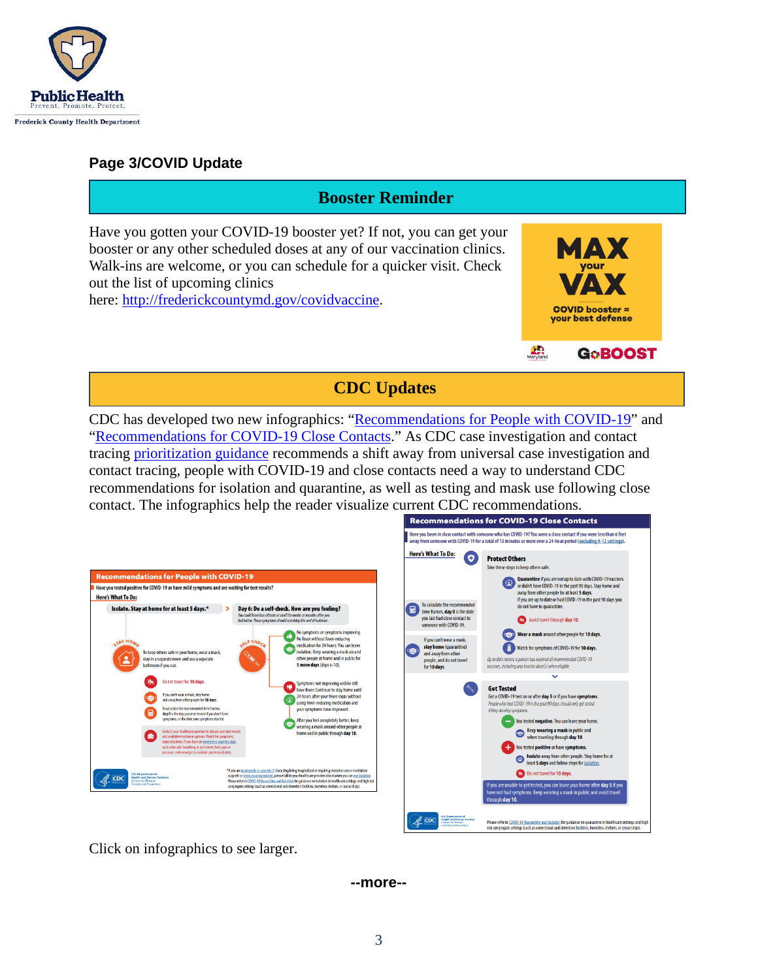

### **Page 3/COVID Update**

### **Booster Reminder**

Have you gotten your COVID-19 booster yet? If not, you can get your booster or any other scheduled doses at any of our vaccination clinics. Walk-ins are welcome, or you can schedule for a quicker visit. Check out the list of upcoming clinics

here: [http://frederickcountymd.gov/covidvaccine.](https://health.frederickcountymd.gov/629/COVID-19-Vaccine)



**CDC Updates**

CDC has developed two new infographics: ["Recommendations for People with COVID-19"](https://www.cdc.gov/coronavirus/2019-ncov/downloads/your-health/QI-Guidance-Isolation.pdf) and ["Recommendations for COVID-19 Close Contacts.](https://www.cdc.gov/coronavirus/2019-ncov/downloads/your-health/QI-Guidance-Quarantine.pdf)" As CDC case investigation and contact tracing [prioritization guidance](https://www.cdc.gov/coronavirus/2019-ncov/php/contact-tracing/contact-tracing-plan/prioritization.html) recommends a shift away from universal case investigation and contact tracing, people with COVID-19 and close contacts need a way to understand CDC recommendations for isolation and quarantine, as well as testing and mask use following close contact. The infographics help the reader visualize current CDC recommendations.

| <b>Here's What To Do:</b>                                     |                                                                                                                      | Have you tested positive for COVID-19 or have mild symptoms and are waiting for test results?                                                                                                                                                                                                    |                                                                                                                                                                                                                                                                                                                                                 |
|---------------------------------------------------------------|----------------------------------------------------------------------------------------------------------------------|--------------------------------------------------------------------------------------------------------------------------------------------------------------------------------------------------------------------------------------------------------------------------------------------------|-------------------------------------------------------------------------------------------------------------------------------------------------------------------------------------------------------------------------------------------------------------------------------------------------------------------------------------------------|
|                                                               |                                                                                                                      | Isolate. Stay at home for at least 5 days.*                                                                                                                                                                                                                                                      | Day 6: Do a self-check. How are you feeling?<br>You could have loss of taste or smell for weeks or months after you<br>feel better. These symptoms should not delay the end of isolation.<br>No symptoms or symptoms improving.                                                                                                                 |
| <b>TAY HOA</b>                                                | To keep others safe in your home, wear a mask,<br>stay in a separate room and use a separate<br>bathroom if you can. |                                                                                                                                                                                                                                                                                                  | No fever without fever-reducing<br>F CHEC<br>medication for 24 hours: You can leave<br>isolation. Keep wearing a mask around<br>other people at home and in public for<br>5 more days (days 6-10).                                                                                                                                              |
|                                                               | 品                                                                                                                    | Do not travel for 10 days.<br>If you can't wear a mask, stay home<br>and away from other people for 10 days.<br>To calculate the recommended time frames.<br>day 0 is the day you were tested if you don't have<br>symptoms, or the date your symptoms started.                                  | Symptoms not improving and/or still<br>have fever: Continue to stay home until<br>24 hours after your fever stops without<br>using fever-reducing medication and<br>vour symptoms have improved.<br>After you feel completely better, keep                                                                                                      |
|                                                               | 曲                                                                                                                    | Contact your healthcare provider to discuss your test results<br>and available treatment options. Watch for symptoms,<br>especially fever. If you have an emergency warning sign.<br>such as trouble breathing or persistent chest pain or<br>pressure, seek emergency medical care immediately. | wearing a mask around other people at<br>home and in public through day 10.                                                                                                                                                                                                                                                                     |
| <b>U.S. Department of</b><br><b>Health and Human Services</b> |                                                                                                                      |                                                                                                                                                                                                                                                                                                  | *If you are moderately or severely ill (including being hospitalized or requiring intensive care or ventilation<br>support) or immunocompromised, please talk to your healthcare provider about when you can end isolation.<br>Please refer to COVID-19 Quarantine and Isolation for guidance on isolation in healthcare settings and high risk |



Click on infographics to see larger.

**--more--**